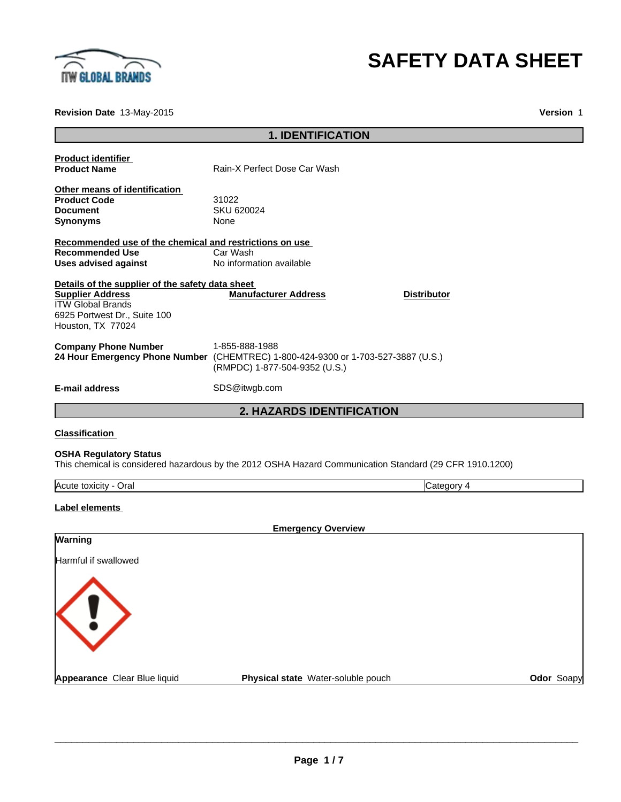

# **SAFETY DATA SHEET**

**Revision Date** 13-May-2015

**Version** 1

|                                                                                                                                                              | <b>1. IDENTIFICATION</b>                                                                                                             |            |
|--------------------------------------------------------------------------------------------------------------------------------------------------------------|--------------------------------------------------------------------------------------------------------------------------------------|------------|
|                                                                                                                                                              |                                                                                                                                      |            |
| <b>Product identifier</b><br><b>Product Name</b>                                                                                                             | Rain-X Perfect Dose Car Wash                                                                                                         |            |
| Other means of identification<br><b>Product Code</b><br><b>Document</b><br><b>Synonyms</b>                                                                   | 31022<br>SKU 620024<br>None                                                                                                          |            |
| Recommended use of the chemical and restrictions on use<br><b>Recommended Use</b><br><b>Uses advised against</b>                                             | Car Wash<br>No information available                                                                                                 |            |
| Details of the supplier of the safety data sheet<br><b>Supplier Address</b><br><b>ITW Global Brands</b><br>6925 Portwest Dr., Suite 100<br>Houston, TX 77024 | <b>Manufacturer Address</b><br><b>Distributor</b>                                                                                    |            |
| <b>Company Phone Number</b>                                                                                                                                  | 1-855-888-1988<br>24 Hour Emergency Phone Number (CHEMTREC) 1-800-424-9300 or 1-703-527-3887 (U.S.)<br>(RMPDC) 1-877-504-9352 (U.S.) |            |
| E-mail address                                                                                                                                               | SDS@itwgb.com                                                                                                                        |            |
|                                                                                                                                                              | <b>2. HAZARDS IDENTIFICATION</b>                                                                                                     |            |
| <b>Classification</b>                                                                                                                                        |                                                                                                                                      |            |
| <b>OSHA Regulatory Status</b>                                                                                                                                | This chemical is considered hazardous by the 2012 OSHA Hazard Communication Standard (29 CFR 1910.1200)                              |            |
| Acute toxicity - Oral                                                                                                                                        | Category 4                                                                                                                           |            |
| Label elements                                                                                                                                               |                                                                                                                                      |            |
|                                                                                                                                                              | <b>Emergency Overview</b>                                                                                                            |            |
| <b>Warning</b>                                                                                                                                               |                                                                                                                                      |            |
| Harmful if swallowed                                                                                                                                         |                                                                                                                                      |            |
| Appearance Clear Blue liquid                                                                                                                                 | Physical state Water-soluble pouch                                                                                                   | Odor Soapy |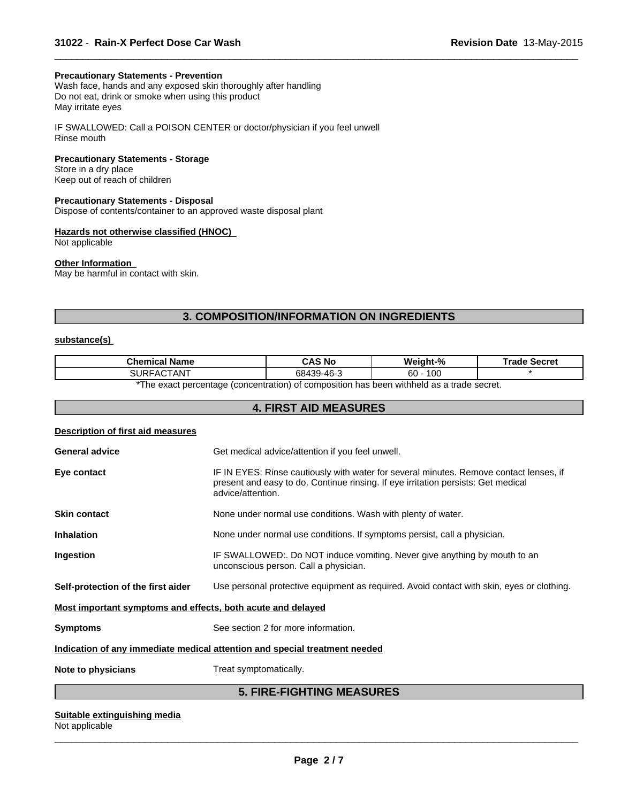#### **Precautionary Statements - Prevention**

Wash face, hands and any exposed skin thoroughly after handling Do not eat, drink or smoke when using this product May irritate eyes

IF SWALLOWED: Call a POISON CENTER or doctor/physician if you feel unwell Rinse mouth

## **Precautionary Statements - Storage**

Store in a dry place Keep out of reach of children

## **Precautionary Statements - Disposal**

Dispose of contents/container to an approved waste disposal plant

## **Hazards not otherwise classified (HNOC)**

Not applicable

#### **Other Information**

May be harmful in contact with skin.

## **3. COMPOSITION/INFORMATION ON INGREDIENTS**

 $\overline{\phantom{a}}$  ,  $\overline{\phantom{a}}$  ,  $\overline{\phantom{a}}$  ,  $\overline{\phantom{a}}$  ,  $\overline{\phantom{a}}$  ,  $\overline{\phantom{a}}$  ,  $\overline{\phantom{a}}$  ,  $\overline{\phantom{a}}$  ,  $\overline{\phantom{a}}$  ,  $\overline{\phantom{a}}$  ,  $\overline{\phantom{a}}$  ,  $\overline{\phantom{a}}$  ,  $\overline{\phantom{a}}$  ,  $\overline{\phantom{a}}$  ,  $\overline{\phantom{a}}$  ,  $\overline{\phantom{a}}$ 

## **substance(s)**

| Chemical Name                  | CAS No           | Weight-%          | Secret<br>™rade |
|--------------------------------|------------------|-------------------|-----------------|
| $- - - - - - -$<br>SUR<br>`AN. | .Q-46-?<br>68439 | 100<br>$60 \cdot$ |                 |
|                                |                  | .                 |                 |

\*The exact percentage (concentration) of composition has been withheld as a trade secret.

## **4. FIRST AID MEASURES**

#### **Description of first aid measures**

| <b>General advice</b>                                                      | Get medical advice/attention if you feel unwell.                                                                                                                                                 |  |
|----------------------------------------------------------------------------|--------------------------------------------------------------------------------------------------------------------------------------------------------------------------------------------------|--|
| Eye contact                                                                | IF IN EYES: Rinse cautiously with water for several minutes. Remove contact lenses, if<br>present and easy to do. Continue rinsing. If eye irritation persists: Get medical<br>advice/attention. |  |
| <b>Skin contact</b>                                                        | None under normal use conditions. Wash with plenty of water.                                                                                                                                     |  |
| <b>Inhalation</b>                                                          | None under normal use conditions. If symptoms persist, call a physician.                                                                                                                         |  |
| Ingestion                                                                  | IF SWALLOWED:. Do NOT induce vomiting. Never give anything by mouth to an<br>unconscious person. Call a physician.                                                                               |  |
| Self-protection of the first aider                                         | Use personal protective equipment as required. Avoid contact with skin, eyes or clothing.                                                                                                        |  |
| Most important symptoms and effects, both acute and delayed                |                                                                                                                                                                                                  |  |
| <b>Symptoms</b>                                                            | See section 2 for more information.                                                                                                                                                              |  |
| Indication of any immediate medical attention and special treatment needed |                                                                                                                                                                                                  |  |
| Note to physicians                                                         | Treat symptomatically.                                                                                                                                                                           |  |
| E FIDE FIAUTINA MEAGUDEG                                                   |                                                                                                                                                                                                  |  |

## **5. FIRE-FIGHTING MEASURES**

## **Suitable extinguishing media**

Not applicable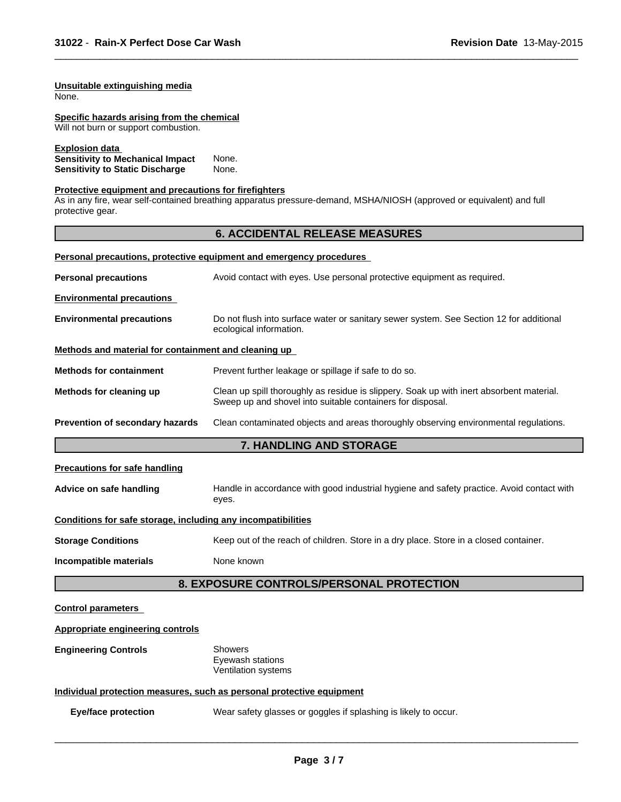#### **Unsuitable extinguishing media** None.

**Specific hazards arising from the chemical** Will not burn or support combustion.

**Explosion data** 

**Sensitivity to Mechanical Impact** None. **Sensitivity to Static Discharge Mone.** 

## **Protective equipment and precautions for firefighters**

As in any fire, wear self-contained breathing apparatus pressure-demand, MSHA/NIOSH (approved or equivalent) and full protective gear.

## **6. ACCIDENTAL RELEASE MEASURES**

 $\overline{\phantom{a}}$  ,  $\overline{\phantom{a}}$  ,  $\overline{\phantom{a}}$  ,  $\overline{\phantom{a}}$  ,  $\overline{\phantom{a}}$  ,  $\overline{\phantom{a}}$  ,  $\overline{\phantom{a}}$  ,  $\overline{\phantom{a}}$  ,  $\overline{\phantom{a}}$  ,  $\overline{\phantom{a}}$  ,  $\overline{\phantom{a}}$  ,  $\overline{\phantom{a}}$  ,  $\overline{\phantom{a}}$  ,  $\overline{\phantom{a}}$  ,  $\overline{\phantom{a}}$  ,  $\overline{\phantom{a}}$ 

#### **Personal precautions, protective equipment and emergency procedures**

| <b>Personal precautions</b>                          | Avoid contact with eyes. Use personal protective equipment as required.                                                                                |  |  |
|------------------------------------------------------|--------------------------------------------------------------------------------------------------------------------------------------------------------|--|--|
| <b>Environmental precautions</b>                     |                                                                                                                                                        |  |  |
| <b>Environmental precautions</b>                     | Do not flush into surface water or sanitary sewer system. See Section 12 for additional<br>ecological information.                                     |  |  |
| Methods and material for containment and cleaning up |                                                                                                                                                        |  |  |
| <b>Methods for containment</b>                       | Prevent further leakage or spillage if safe to do so.                                                                                                  |  |  |
| Methods for cleaning up                              | Clean up spill thoroughly as residue is slippery. Soak up with inert absorbent material.<br>Sweep up and shovel into suitable containers for disposal. |  |  |
| Prevention of secondary hazards                      | Clean contaminated objects and areas thoroughly observing environmental regulations.                                                                   |  |  |
|                                                      | <b>7. HANDLING AND STORAGE</b>                                                                                                                         |  |  |
| <b>Precautions for safe handling</b>                 |                                                                                                                                                        |  |  |

| Advice on safe handling | Handle in accordance with good industrial hygiene and safety practice. Avoid contact with |  |
|-------------------------|-------------------------------------------------------------------------------------------|--|
|                         | eves.                                                                                     |  |

## **Conditions for safe storage, including any incompatibilities**

**Storage Conditions** Keep out of the reach of children. Store in a dry place. Store in a closed container.

**Incompatible materials** None known

## **8. EXPOSURE CONTROLS/PERSONAL PROTECTION**

#### **Control parameters**

| Appropriate engineering controls |                                                                       |
|----------------------------------|-----------------------------------------------------------------------|
| <b>Engineering Controls</b>      | Showers<br>Eyewash stations<br>Ventilation systems                    |
|                                  | Individual protection measures, such as personal protective equipment |
| <b>Eye/face protection</b>       | Wear safety glasses or goggles if splashing is likely to occur.       |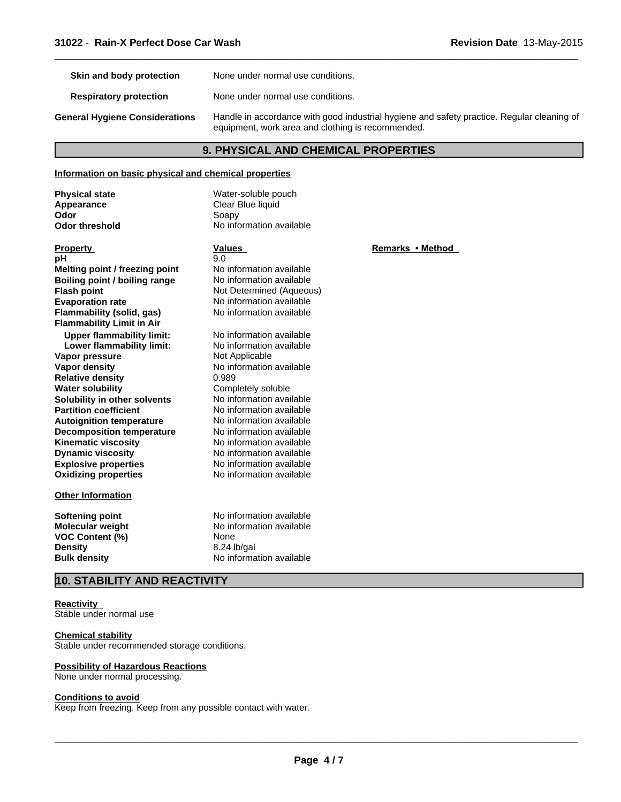| Skin and body protection              | None under normal use conditions.                                                                                                               |
|---------------------------------------|-------------------------------------------------------------------------------------------------------------------------------------------------|
| <b>Respiratory protection</b>         | None under normal use conditions.                                                                                                               |
| <b>General Hygiene Considerations</b> | Handle in accordance with good industrial hygiene and safety practice. Regular cleaning of<br>equipment, work area and clothing is recommended. |

 $\overline{\phantom{a}}$  ,  $\overline{\phantom{a}}$  ,  $\overline{\phantom{a}}$  ,  $\overline{\phantom{a}}$  ,  $\overline{\phantom{a}}$  ,  $\overline{\phantom{a}}$  ,  $\overline{\phantom{a}}$  ,  $\overline{\phantom{a}}$  ,  $\overline{\phantom{a}}$  ,  $\overline{\phantom{a}}$  ,  $\overline{\phantom{a}}$  ,  $\overline{\phantom{a}}$  ,  $\overline{\phantom{a}}$  ,  $\overline{\phantom{a}}$  ,  $\overline{\phantom{a}}$  ,  $\overline{\phantom{a}}$ 

## **9. PHYSICAL AND CHEMICAL PROPERTIES**

## **Information on basic physical and chemical properties**

| <b>Physical state</b><br>Appearance | Water-soluble pouch<br>Clear Blue liquid |                  |
|-------------------------------------|------------------------------------------|------------------|
| Odor                                | Soapy                                    |                  |
| <b>Odor threshold</b>               | No information available                 |                  |
|                                     |                                          |                  |
| <b>Property</b>                     | <b>Values</b>                            | Remarks • Method |
| pH                                  | 9.0                                      |                  |
| Melting point / freezing point      | No information available                 |                  |
| Boiling point / boiling range       | No information available                 |                  |
| <b>Flash point</b>                  | Not Determined (Aqueous)                 |                  |
| <b>Evaporation rate</b>             | No information available                 |                  |
| Flammability (solid, gas)           | No information available                 |                  |
| <b>Flammability Limit in Air</b>    |                                          |                  |
| <b>Upper flammability limit:</b>    | No information available                 |                  |
| Lower flammability limit:           | No information available                 |                  |
| Vapor pressure                      | Not Applicable                           |                  |
| Vapor density                       | No information available                 |                  |
| <b>Relative density</b>             | 0.989                                    |                  |
| <b>Water solubility</b>             | Completely soluble                       |                  |
| Solubility in other solvents        | No information available                 |                  |
| <b>Partition coefficient</b>        | No information available                 |                  |
| <b>Autoignition temperature</b>     | No information available                 |                  |
| <b>Decomposition temperature</b>    | No information available                 |                  |
| <b>Kinematic viscosity</b>          | No information available                 |                  |
| <b>Dynamic viscosity</b>            | No information available                 |                  |
| <b>Explosive properties</b>         | No information available                 |                  |
| <b>Oxidizing properties</b>         | No information available                 |                  |
| <b>Other Information</b>            |                                          |                  |
| <b>Softening point</b>              | No information available                 |                  |
| <b>Molecular weight</b>             | No information available                 |                  |
| <b>VOC Content (%)</b>              | None                                     |                  |
| <b>Density</b>                      | 8.24 lb/gal                              |                  |
| <b>Bulk density</b>                 | No information available                 |                  |

## **10. STABILITY AND REACTIVITY**

#### **Reactivity**

Stable under normal use

## **Chemical stability**

Stable under recommended storage conditions.

#### **Possibility of Hazardous Reactions**

None under normal processing.

#### **Conditions to avoid**

Keep from freezing. Keep from any possible contact with water.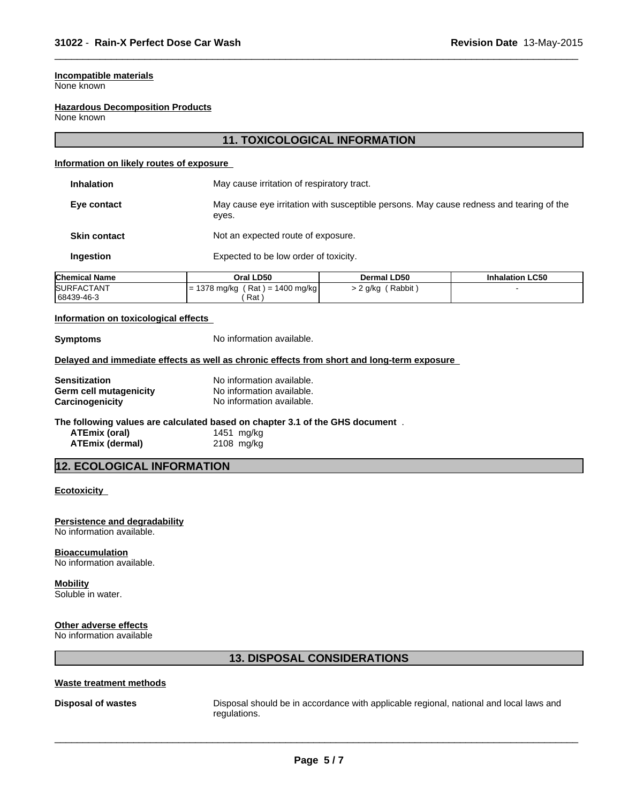## **Incompatible materials**

None known

#### **Hazardous Decomposition Products**

None known

## **11. TOXICOLOGICAL INFORMATION**

 $\overline{\phantom{a}}$  ,  $\overline{\phantom{a}}$  ,  $\overline{\phantom{a}}$  ,  $\overline{\phantom{a}}$  ,  $\overline{\phantom{a}}$  ,  $\overline{\phantom{a}}$  ,  $\overline{\phantom{a}}$  ,  $\overline{\phantom{a}}$  ,  $\overline{\phantom{a}}$  ,  $\overline{\phantom{a}}$  ,  $\overline{\phantom{a}}$  ,  $\overline{\phantom{a}}$  ,  $\overline{\phantom{a}}$  ,  $\overline{\phantom{a}}$  ,  $\overline{\phantom{a}}$  ,  $\overline{\phantom{a}}$ 

#### **Information on likely routes of exposure**

| <b>Inhalation</b>   | May cause irritation of respiratory tract.                                                       |
|---------------------|--------------------------------------------------------------------------------------------------|
| Eye contact         | May cause eye irritation with susceptible persons. May cause redness and tearing of the<br>eyes. |
| <b>Skin contact</b> | Not an expected route of exposure.                                                               |
| Ingestion           | Expected to be low order of toxicity.                                                            |
|                     |                                                                                                  |

| <b>Chemical Name</b> | Oral LD50                           | <b>Dermal LD50</b> | <b>Inhalation LC50</b> |
|----------------------|-------------------------------------|--------------------|------------------------|
| <b>SURFACTANT</b>    | 1378 mg/kg<br>1400 mg/kg<br>$Rat =$ | (Rabbit)<br>? a/ka |                        |
| 68439-46-3           | Rat                                 |                    |                        |

## **Information on toxicological effects**

**Symptoms** No information available.

#### **Delayed and immediate effects as well as chronic effects from short and long-term exposure**

| <b>Sensitization</b>   | No information available. |
|------------------------|---------------------------|
| Germ cell mutagenicity | No information available. |
| Carcinogenicity        | No information available. |

## **The following values are calculated based on chapter 3.1 of the GHS document** .

| ATEmix (oral)   | 1451 mg/kg |
|-----------------|------------|
| ATEmix (dermal) | 2108 mg/kg |

## **12. ECOLOGICAL INFORMATION**

## **Ecotoxicity**

**Persistence and degradability** No information available.

#### **Bioaccumulation**

No information available.

## **Mobility**

Soluble in water.

## **Other adverse effects**

No information available

## **13. DISPOSAL CONSIDERATIONS**

## **Waste treatment methods**

**Disposal of wastes Disposal should be in accordance with applicable regional, national and local laws and <b>Disposal should be in accordance with applicable regional, national and local laws and** regulations.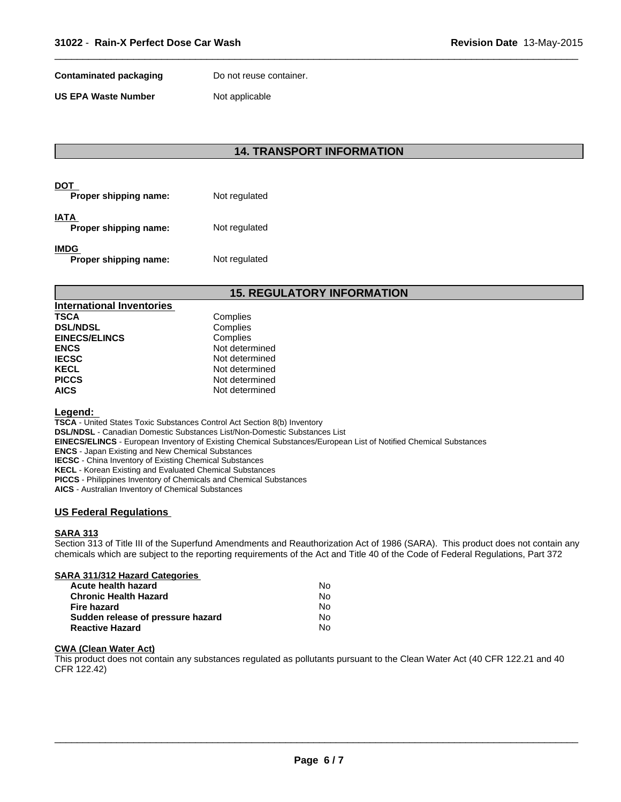**Contaminated packaging Theory Do not reuse container.** 

**US EPA Waste Number** Not applicable

## **14. TRANSPORT INFORMATION**

 $\overline{\phantom{a}}$  ,  $\overline{\phantom{a}}$  ,  $\overline{\phantom{a}}$  ,  $\overline{\phantom{a}}$  ,  $\overline{\phantom{a}}$  ,  $\overline{\phantom{a}}$  ,  $\overline{\phantom{a}}$  ,  $\overline{\phantom{a}}$  ,  $\overline{\phantom{a}}$  ,  $\overline{\phantom{a}}$  ,  $\overline{\phantom{a}}$  ,  $\overline{\phantom{a}}$  ,  $\overline{\phantom{a}}$  ,  $\overline{\phantom{a}}$  ,  $\overline{\phantom{a}}$  ,  $\overline{\phantom{a}}$ 

| DOT<br>Proper shipping name:  | Not regulated |
|-------------------------------|---------------|
| IATA<br>Proper shipping name: | Not regulated |
| IMDG<br>Proper shipping name: | Not regulated |

## **15. REGULATORY INFORMATION**

| <b>International Inventories</b> |                |
|----------------------------------|----------------|
| <b>TSCA</b>                      | Complies       |
| <b>DSL/NDSL</b>                  | Complies       |
| <b>EINECS/ELINCS</b>             | Complies       |
| <b>ENCS</b>                      | Not determined |
| <b>IECSC</b>                     | Not determined |
| <b>KECL</b>                      | Not determined |
| <b>PICCS</b>                     | Not determined |
| <b>AICS</b>                      | Not determined |

## **Legend:**

**TSCA** - United States Toxic Substances Control Act Section 8(b) Inventory **DSL/NDSL** - Canadian Domestic Substances List/Non-Domestic Substances List **EINECS/ELINCS** - European Inventory of Existing Chemical Substances/European List of Notified Chemical Substances **ENCS** - Japan Existing and New Chemical Substances **IECSC** - China Inventory of Existing Chemical Substances **KECL** - Korean Existing and Evaluated Chemical Substances **PICCS** - Philippines Inventory of Chemicals and Chemical Substances **AICS** - Australian Inventory of Chemical Substances

## **US Federal Regulations**

## **SARA 313**

Section 313 of Title III of the Superfund Amendments and Reauthorization Act of 1986 (SARA). This product does not contain any chemicals which are subject to the reporting requirements of the Act and Title 40 of the Code of Federal Regulations, Part 372

## **SARA 311/312 Hazard Categories**

| <b>Acute health hazard</b>        | N٥ |
|-----------------------------------|----|
| <b>Chronic Health Hazard</b>      | No |
| Fire hazard                       | N٥ |
| Sudden release of pressure hazard | No |
| <b>Reactive Hazard</b>            | No |

#### **CWA (Clean Water Act)**

This product does not contain any substances regulated as pollutants pursuant to the Clean Water Act (40 CFR 122.21 and 40 CFR 122.42)